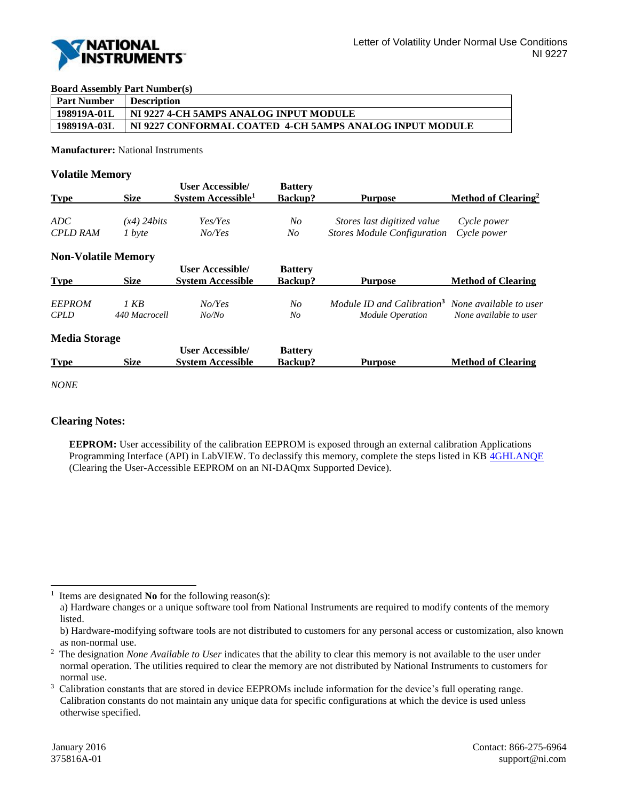

### **Board Assembly Part Number(s)**

| <b>Part Number</b> | <b>Description</b>                                      |
|--------------------|---------------------------------------------------------|
| 198919A-01L        | NI 9227 4-CH 5AMPS ANALOG INPUT MODULE                  |
| 198919A-03L        | NI 9227 CONFORMAL COATED 4-CH 5AMPS ANALOG INPUT MODULE |

**Manufacturer:** National Instruments

## **Volatile Memory**

| <b>Type</b>                | <b>Size</b>   | <b>User Accessible/</b><br>System Accessible <sup>1</sup> | <b>Battery</b><br><b>Backup?</b> | <b>Purpose</b>                         | Method of Clearing <sup>2</sup> |
|----------------------------|---------------|-----------------------------------------------------------|----------------------------------|----------------------------------------|---------------------------------|
| ADC                        | $(x4)$ 24bits | Yes/Yes                                                   | No                               | Stores last digitized value            | Cycle power                     |
| <b>CPLD RAM</b>            | 1 byte        | NoYes                                                     | No                               | <b>Stores Module Configuration</b>     | Cycle power                     |
| <b>Non-Volatile Memory</b> |               |                                                           |                                  |                                        |                                 |
| <b>Type</b>                | <b>Size</b>   | <b>User Accessible/</b><br><b>System Accessible</b>       | <b>Battery</b><br><b>Backup?</b> | <b>Purpose</b>                         | <b>Method of Clearing</b>       |
| <b>EEPROM</b>              | 1 KB          | NoYes                                                     | No                               | Module ID and Calibration <sup>3</sup> | None available to user          |
| <b>CPLD</b>                | 440 Macrocell | No/No                                                     | No                               | Module Operation                       | None available to user          |
| <b>B</b> T P<br>$\sim$     |               |                                                           |                                  |                                        |                                 |

#### **Media Storage**

| <b>Type</b><br><b>Method of Clearing</b><br><b>System Accessible</b><br>Size<br><b>Backup?</b><br>Purpose |  |
|-----------------------------------------------------------------------------------------------------------|--|

*NONE*

l

## **Clearing Notes:**

**EEPROM:** User accessibility of the calibration EEPROM is exposed through an external calibration Applications Programming Interface (API) in LabVIEW. To declassify this memory, complete the steps listed in KB [4GHLANQE](http://digital.ni.com/public.nsf/allkb/E6719B82A2C0C2EC862573B600165510?OpenDocument) (Clearing the User-Accessible EEPROM on an NI-DAQmx Supported Device).

1 Items are designated **No** for the following reason(s):

a) Hardware changes or a unique software tool from National Instruments are required to modify contents of the memory listed.

b) Hardware-modifying software tools are not distributed to customers for any personal access or customization, also known as non-normal use.

<sup>2</sup> The designation *None Available to User* indicates that the ability to clear this memory is not available to the user under normal operation. The utilities required to clear the memory are not distributed by National Instruments to customers for normal use.

<sup>3</sup> Calibration constants that are stored in device EEPROMs include information for the device's full operating range. Calibration constants do not maintain any unique data for specific configurations at which the device is used unless otherwise specified.